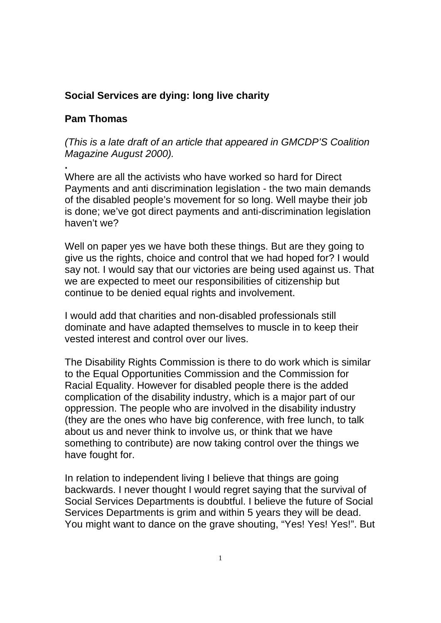## **Social Services are dying: long live charity**

## **Pam Thomas**

**.**

*(This is a late draft of an article that appeared in GMCDP'S Coalition Magazine August 2000).*

Where are all the activists who have worked so hard for Direct Payments and anti discrimination legislation - the two main demands of the disabled people's movement for so long. Well maybe their job is done; we've got direct payments and anti-discrimination legislation haven't we?

Well on paper yes we have both these things. But are they going to give us the rights, choice and control that we had hoped for? I would say not. I would say that our victories are being used against us. That we are expected to meet our responsibilities of citizenship but continue to be denied equal rights and involvement.

I would add that charities and non-disabled professionals still dominate and have adapted themselves to muscle in to keep their vested interest and control over our lives.

The Disability Rights Commission is there to do work which is similar to the Equal Opportunities Commission and the Commission for Racial Equality. However for disabled people there is the added complication of the disability industry, which is a major part of our oppression. The people who are involved in the disability industry (they are the ones who have big conference, with free lunch, to talk about us and never think to involve us, or think that we have something to contribute) are now taking control over the things we have fought for.

In relation to independent living I believe that things are going backwards. I never thought I would regret saying that the survival of Social Services Departments is doubtful. I believe the future of Social Services Departments is grim and within 5 years they will be dead. You might want to dance on the grave shouting, "Yes! Yes! Yes!". But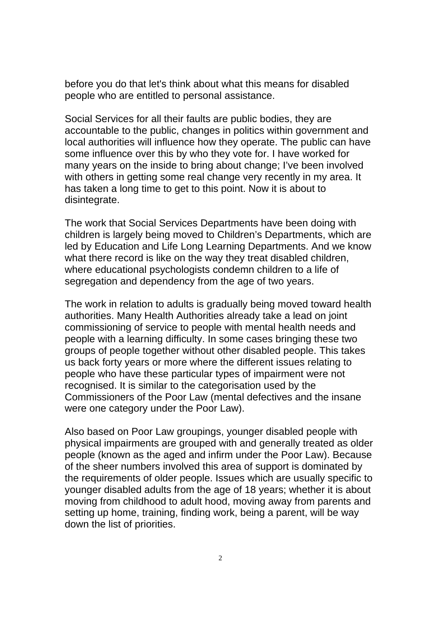before you do that let's think about what this means for disabled people who are entitled to personal assistance.

Social Services for all their faults are public bodies, they are accountable to the public, changes in politics within government and local authorities will influence how they operate. The public can have some influence over this by who they vote for. I have worked for many years on the inside to bring about change; I've been involved with others in getting some real change very recently in my area. It has taken a long time to get to this point. Now it is about to disintegrate.

The work that Social Services Departments have been doing with children is largely being moved to Children's Departments, which are led by Education and Life Long Learning Departments. And we know what there record is like on the way they treat disabled children, where educational psychologists condemn children to a life of segregation and dependency from the age of two years.

The work in relation to adults is gradually being moved toward health authorities. Many Health Authorities already take a lead on joint commissioning of service to people with mental health needs and people with a learning difficulty. In some cases bringing these two groups of people together without other disabled people. This takes us back forty years or more where the different issues relating to people who have these particular types of impairment were not recognised. It is similar to the categorisation used by the Commissioners of the Poor Law (mental defectives and the insane were one category under the Poor Law).

Also based on Poor Law groupings, younger disabled people with physical impairments are grouped with and generally treated as older people (known as the aged and infirm under the Poor Law). Because of the sheer numbers involved this area of support is dominated by the requirements of older people. Issues which are usually specific to younger disabled adults from the age of 18 years; whether it is about moving from childhood to adult hood, moving away from parents and setting up home, training, finding work, being a parent, will be way down the list of priorities.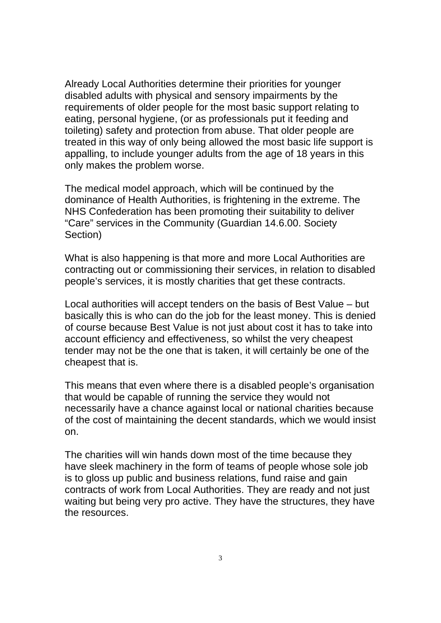Already Local Authorities determine their priorities for younger disabled adults with physical and sensory impairments by the requirements of older people for the most basic support relating to eating, personal hygiene, (or as professionals put it feeding and toileting) safety and protection from abuse. That older people are treated in this way of only being allowed the most basic life support is appalling, to include younger adults from the age of 18 years in this only makes the problem worse.

The medical model approach, which will be continued by the dominance of Health Authorities, is frightening in the extreme. The NHS Confederation has been promoting their suitability to deliver "Care" services in the Community (Guardian 14.6.00. Society Section)

What is also happening is that more and more Local Authorities are contracting out or commissioning their services, in relation to disabled people's services, it is mostly charities that get these contracts.

Local authorities will accept tenders on the basis of Best Value – but basically this is who can do the job for the least money. This is denied of course because Best Value is not just about cost it has to take into account efficiency and effectiveness, so whilst the very cheapest tender may not be the one that is taken, it will certainly be one of the cheapest that is.

This means that even where there is a disabled people's organisation that would be capable of running the service they would not necessarily have a chance against local or national charities because of the cost of maintaining the decent standards, which we would insist on.

The charities will win hands down most of the time because they have sleek machinery in the form of teams of people whose sole job is to gloss up public and business relations, fund raise and gain contracts of work from Local Authorities. They are ready and not just waiting but being very pro active. They have the structures, they have the resources.